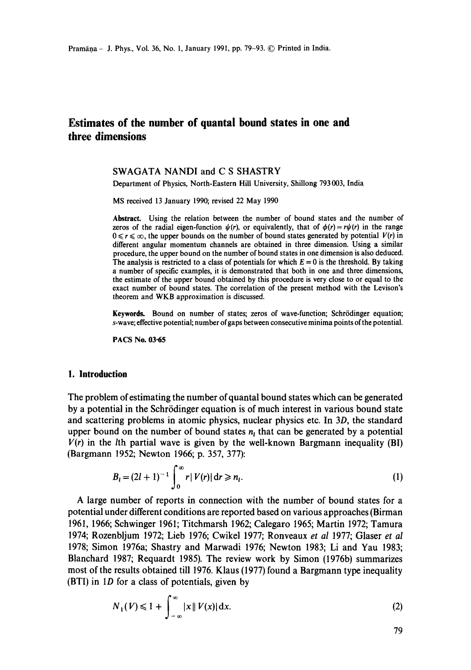# **Estimates of the number of quantal bound states in one and three dimensions**

#### SWAGATA NANDI and C S SHASTRY

Department of Physics, North-Eastern Hill University, Shillong 793 003, India

MS received 13 January 1990; revised 22 May 1990

**Abstract.** Using the relation between the number of bound states and the number of zeros of the radial eigen-function  $\psi(r)$ , or equivalently, that of  $\phi(r) = r\psi(r)$  in the range  $0 \le r \le \infty$ , the upper bounds on the number of bound states generated by potential  $V(r)$  in different angular momentum channels are obtained in three dimension. Using a similar procedure, the upper bound on the number of bound states in one dimension is also deduced. The analysis is restricted to a class of potentials for which  $E = 0$  is the threshold. By taking a number of specific examples, it is demonstrated that both in one and three dimensions, the estimate of the upper bound obtained by this procedure is very close to or equal to the exact number of bound states. The correlation of the present method with the Levison's theorem and WKB approximation is discussed.

Keywords. Bound on number of states; zeros of wave-function; Schrödinger equation; s-wave; effective potential; number of gaps between consecutive minima points of the potential.

**PACS No. 03-65** 

# **1. Introduction**

The problem of estimating the number of quantal bound states which can be generated by a potential in the Schr6dinger equation is of much interest in various bound state and scattering problems in atomic physics, nuclear physics etc. In 3D, the standard upper bound on the number of bound states  $n<sub>l</sub>$  that can be generated by a potential  $V(r)$  in the *l*th partial wave is given by the well-known Bargmann inequality (BI) (Bargmann 1952; Newton 1966; p. 357, 377):

$$
B_{i} = (2l + 1)^{-1} \int_{0}^{\infty} r|V(r)| dr \ge n_{i}.
$$
 (1)

A large number of reports in connection with the number of bound states for a potential under different conditions are reported based on various approaches (Birman 1961, 1966; Schwinger 1961; Titchmarsh 1962; Calegaro 1965; Martin 1972; Tamura 1974; Rozenbljum 1972; Lieb 1976; Cwikel 1977; Ronveaux *et al* 1977; Glaser *et al*  1978; Simon 1976a; Shastry and Marwadi 1976; Newton 1983; Li and Yau 1983; Blanchard 1987; Requardt 1985). The review work by Simon (1976b) summarizes most of the results obtained till 1976. Klaus (1977) found a Bargmann type inequality (BTI) in 1D for a class of potentials, given by

$$
N_1(V) \le 1 + \int_{-\infty}^{\infty} |x| |V(x)| dx.
$$
 (2)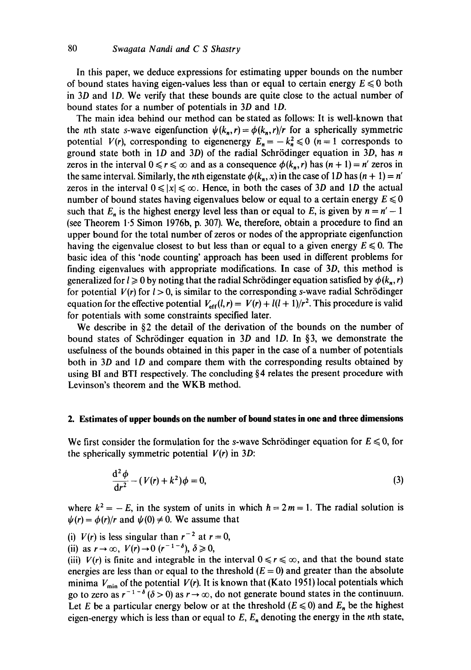In this paper, we deduce expressions for estimating upper bounds on the number of bound states having eigen-values less than or equal to certain energy  $E \le 0$  both in  $3D$  and  $1D$ . We verify that these bounds are quite close to the actual number of bound states for a number of potentials in 3D and 1D.

The main idea behind our method can be stated as follows: It is well-known that the *n*th state *s*-wave eigenfunction  $\psi(k_n,r) = \phi(k_n,r)/r$  for a spherically symmetric potential *V(r),* corresponding to eigenenergy  $E_n = -k_n^2 \le 0$  (n = 1 corresponds to ground state both in  $1D$  and  $3D$ ) of the radial Schrödinger equation in  $3D$ , has n zeros in the interval  $0 \le r \le \infty$  and as a consequence  $\phi(k_n, r)$  has  $(n + 1) = n'$  zeros in the same interval. Similarly, the nth eigenstate  $\phi(k_n, x)$  in the case of 1D has  $(n + 1) = n'$ zeros in the interval  $0 \le |x| \le \infty$ . Hence, in both the cases of 3D and 1D the actual number of bound states having eigenvalues below or equal to a certain energy  $E \le 0$ such that  $E_n$  is the highest energy level less than or equal to E, is given by  $n = n' - 1$ (see Theorem 1.5 Simon 1976b, p. 307). We, therefore, obtain a procedure to find an upper bound for the total number of zeros or nodes of the appropriate eigenfunction having the eigenvalue closest to but less than or equal to a given energy  $E \le 0$ . The basic idea of this 'node counting' approach has been used in different problems for finding eigenvalues with appropriate modifications. In case of 3D, this method is generalized for  $l \geq 0$  by noting that the radial Schrödinger equation satisfied by  $\phi(k_n, r)$ for potential  $V(r)$  for  $l > 0$ , is similar to the corresponding s-wave radial Schrödinger equation for the effective potential  $V_{\text{eff}}(l, r) = V(r) + l(l+1)/r^2$ . This procedure is valid for potentials with some constraints specified later.

We describe in  $\S$ 2 the detail of the derivation of the bounds on the number of bound states of Schrödinger equation in 3D and 1D. In §3, we demonstrate the usefulness of the bounds obtained in this paper in the case of a number of potentials both in 3D and ID and compare them with the corresponding results obtained by using BI and BTI respectively. The concluding §4 relates the present procedure with Levinson's theorem and the WKB method.

# **2. Estimates of upper bounds on the number of bound states in one and three dimensions**

We first consider the formulation for the s-wave Schrödinger equation for  $E \le 0$ , for the spherically symmetric potential  $V(r)$  in 3D:

$$
\frac{\mathrm{d}^2 \phi}{\mathrm{d}r^2} - (V(r) + k^2)\phi = 0,\tag{3}
$$

where  $k^2 = -E$ , in the system of units in which  $h = 2m = 1$ . The radial solution is  $\psi(r) = \phi(r)/r$  and  $\psi(0) \neq 0$ . We assume that

(i)  $V(r)$  is less singular than  $r^{-2}$  at  $r = 0$ ,

(ii) as  $r \to \infty$ ,  $V(r) \to 0$   $(r^{-1-\delta})$ ,  $\delta \ge 0$ ,

(iii)  $V(r)$  is finite and integrable in the interval  $0 \le r \le \infty$ , and that the bound state energies are less than or equal to the threshold  $(E = 0)$  and greater than the absolute minima  $V_{\text{min}}$  of the potential  $V(r)$ . It is known that (Kato 1951) local potentials which go to zero as  $r^{-1-\delta}$  ( $\delta > 0$ ) as  $r \to \infty$ , do not generate bound states in the continuum. Let E be a particular energy below or at the threshold ( $E \le 0$ ) and  $E_n$  be the highest eigen-energy which is less than or equal to  $E$ ,  $E_n$  denoting the energy in the nth state,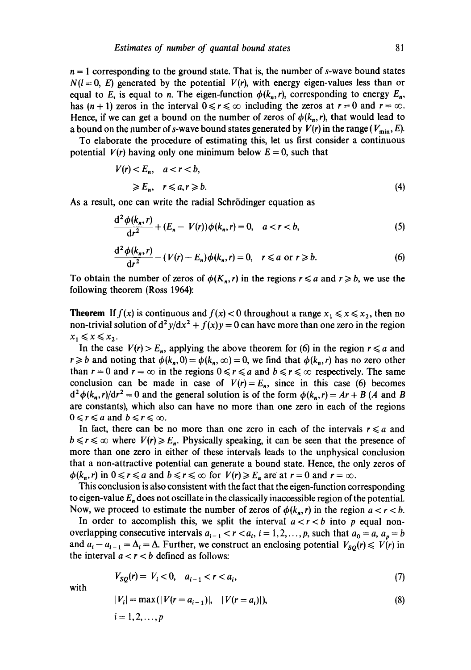$n = 1$  corresponding to the ground state. That is, the number of s-wave bound states  $N(l = 0, E)$  generated by the potential  $V(r)$ , with energy eigen-values less than or equal to E, is equal to n. The eigen-function  $\phi(k_n, r)$ , corresponding to energy  $E_n$ , has  $(n + 1)$  zeros in the interval  $0 \le r \le \infty$  including the zeros at  $r = 0$  and  $r = \infty$ . Hence, if we can get a bound on the number of zeros of  $\phi(k_n, r)$ , that would lead to a bound on the number of s-wave bound states generated by  $V(r)$  in the range ( $V_{\text{min}}$ , E).

To elaborate the procedure of estimating this, let us first consider a continuous potential  $V(r)$  having only one minimum below  $E = 0$ , such that

$$
V(r) < E_n, \quad a < r < b,
$$
\n
$$
\geq E_n, \quad r \leq a, r \geq b.
$$
\n
$$
(4)
$$

As a result, one can write the radial Schrödinger equation as

$$
\frac{d^2 \phi(k_n, r)}{dr^2} + (E_n - V(r))\phi(k_n, r) = 0, \quad a < r < b,
$$
 (5)

$$
\frac{d^2 \phi(k_n, r)}{dr^2} - (V(r) - E_n)\phi(k_n, r) = 0, \quad r \leq a \text{ or } r \geq b. \tag{6}
$$

To obtain the number of zeros of  $\phi(K_n, r)$  in the regions  $r \le a$  and  $r \ge b$ , we use the following theorem (Ross 1964):

**Theorem** If  $f(x)$  is continuous and  $f(x) < 0$  throughout a range  $x_1 \le x \le x_2$ , then no non-trivial solution of  $d^2y/dx^2 + f(x)y = 0$  can have more than one zero in the region  $x_1 \leq x \leq x_2$ .

In the case  $V(r) > E_n$ , applying the above theorem for (6) in the region  $r \le a$  and  $r \ge b$  and noting that  $\phi(k_n, 0) = \phi(k_n, \infty) = 0$ , we find that  $\phi(k_n, r)$  has no zero other than  $r = 0$  and  $r = \infty$  in the regions  $0 \le r \le a$  and  $b \le r \le \infty$  respectively. The same conclusion can be made in case of  $V(r) = E_n$ , since in this case (6) becomes  $d^2 \phi(k_n, r)/dr^2 = 0$  and the general solution is of the form  $\phi(k_n, r) = Ar + B$  (A and B are constants), which also can have no more than one zero in each of the regions  $0 \leq r \leq a$  and  $b \leq r \leq \infty$ .

In fact, there can be no more than one zero in each of the intervals  $r \leq a$  and  $b \le r \le \infty$  where  $V(r) \ge E_n$ . Physically speaking, it can be seen that the presence of more than one zero in either of these intervals leads to the unphysical conclusion that a non-attractive potential can generate a bound state. Hence, the only zeros of  $\phi(k_n, r)$  in  $0 \le r \le a$  and  $b \le r \le \infty$  for  $V(r) \ge E_n$  are at  $r = 0$  and  $r = \infty$ .

This conclusion is also consistent with the fact that the eigen-function corresponding to eigen-value  $E_n$  does not oscillate in the classically inaccessible region of the potential. Now, we proceed to estimate the number of zeros of  $\phi(k_n, r)$  in the region  $a < r < b$ .

In order to accomplish this, we split the interval  $a < r < b$  into p equal nonoverlapping consecutive intervals  $a_{i-1} < r < a_i$ ,  $i = 1, 2, ..., p$ , such that  $a_0 = a$ ,  $a_n = b$ and  $a_i - a_{i-1} = \Delta_i = \Delta$ . Further, we construct an enclosing potential  $V_{SO}(r) \le V(r)$  in the interval  $a < r < b$  defined as follows:

$$
V_{SQ}(r) = V_i < 0, \quad a_{i-1} < r < a_i,\tag{7}
$$

with

$$
|V_i| = \max(|V(r = a_{i-1})|, \quad |V(r = a_i)|), \tag{8}
$$

$$
i=1,2,\ldots,p
$$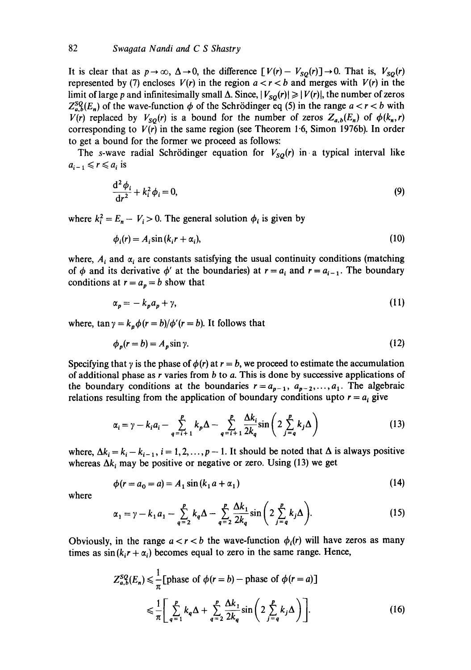It is clear that as  $p \to \infty$ ,  $\Delta \to 0$ , the difference  $[V(r)- V_{SO}(r)] \to 0$ . That is,  $V_{SO}(r)$ represented by (7) encloses  $V(r)$  in the region  $a < r < b$  and merges with  $V(r)$  in the limit of large p and infinitesimally small  $\Delta$ . Since,  $|V_{SO}(r)| \geq |V(r)|$ , the number of zeros  $Z_{a,b}^{\mathcal{S}Q}(E_n)$  of the wave-function  $\phi$  of the Schrödinger eq (5) in the range  $a < r < b$  with *V(r)* replaced by  $V_{SO}(r)$  is a bound for the number of zeros  $Z_{a,b}(E_n)$  of  $\phi(k_n,r)$ corresponding to  $V(r)$  in the same region (see Theorem 1.6, Simon 1976b). In order to get a bound for the former we proceed as follows:

The s-wave radial Schrödinger equation for  $V_{SO}(r)$  in a typical interval like  $a_{i-1} \leq r \leq a_i$  is

$$
\frac{\mathrm{d}^2 \phi_i}{\mathrm{d}r^2} + k_i^2 \phi_i = 0,\tag{9}
$$

where  $k_i^2 = E_n - V_i > 0$ . The general solution  $\phi_i$  is given by

$$
\phi_i(r) = A_i \sin(k_i r + \alpha_i),\tag{10}
$$

where,  $A_i$  and  $\alpha_i$  are constants satisfying the usual continuity conditions (matching of  $\phi$  and its derivative  $\phi'$  at the boundaries) at  $r = a_i$  and  $r = a_{i-1}$ . The boundary conditions at  $r = a_p = b$  show that

$$
\alpha_p = -k_p a_p + \gamma,\tag{11}
$$

where,  $\tan \gamma = k_p \phi(r = b)/\phi'(r = b)$ . It follows that

$$
\phi_p(r = b) = A_p \sin \gamma. \tag{12}
$$

Specifying that  $\gamma$  is the phase of  $\phi(r)$  at  $r = b$ , we proceed to estimate the accumulation of additional phase as  $r$  varies from  $b$  to  $a$ . This is done by successive applications of the boundary conditions at the boundaries  $r=a_{p-1}, a_{p-2},..., a_1$ . The algebraic relations resulting from the application of boundary conditions upto  $r = a_i$  give

$$
\alpha_i = \gamma - k_i a_i - \sum_{q=i+1}^p k_p \Delta - \sum_{q=i+1}^p \frac{\Delta k_i}{2k_q} \sin\left(2 \sum_{j=q}^p k_j \Delta\right)
$$
(13)

where,  $\Delta k_i = k_i - k_{i-1}$ ,  $i = 1, 2, ..., p - 1$ . It should be noted that  $\Delta$  is always positive whereas  $\Delta k_i$  may be positive or negative or zero. Using (13) we get

$$
\phi(r = a_0 = a) = A_1 \sin(k_1 a + \alpha_1) \tag{14}
$$

where

$$
\alpha_1 = \gamma - k_1 a_1 - \sum_{q=2}^p k_q \Delta - \sum_{q=2}^p \frac{\Delta k_1}{2k_q} \sin \left( 2 \sum_{j=q}^p k_j \Delta \right).
$$
 (15)

Obviously, in the range  $a < r < b$  the wave-function  $\phi_i(r)$  will have zeros as many times as  $sin(k_i r + \alpha_i)$  becomes equal to zero in the same range. Hence,

$$
Z_{a,b}^{SQ}(E_n) \leq \frac{1}{\pi} \left[ \text{phase of } \phi(r=b) - \text{phase of } \phi(r=a) \right]
$$
  

$$
\leq \frac{1}{\pi} \left[ \sum_{q=1}^{p} k_q \Delta + \sum_{q=2}^{p} \frac{\Delta k_1}{2k_q} \sin \left( 2 \sum_{j=q}^{p} k_j \Delta \right) \right].
$$
 (16)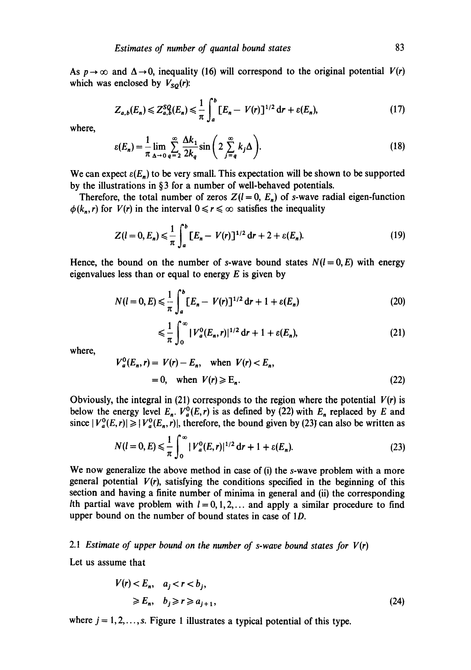As  $p \rightarrow \infty$  and  $\Delta \rightarrow 0$ , inequality (16) will correspond to the original potential  $V(r)$ which was enclosed by  $V_{\text{SO}}(r)$ :

$$
Z_{a,b}(E_n) \leq Z_{a,b}^{SQ}(E_n) \leq \frac{1}{\pi} \int_a^b [E_n - V(r)]^{1/2} \, \mathrm{d}r + \varepsilon(E_n),\tag{17}
$$

where,

$$
\varepsilon(E_n) = \frac{1}{\pi} \lim_{\Delta \to 0} \sum_{q=2}^{\infty} \frac{\Delta k_1}{2k_q} \sin\left(2 \sum_{j=q}^{\infty} k_j \Delta\right).
$$
 (18)

We can expect  $\varepsilon(E_n)$  to be very small. This expectation will be shown to be supported by the illustrations in **§ 3 for a** number of well-behaved potentials.

Therefore, the total number of zeros  $Z(l = 0, E_n)$  of s-wave radial eigen-function  $\phi(k_n, r)$  for  $V(r)$  in the interval  $0 \le r \le \infty$  satisfies the inequality

$$
Z(l=0,E_n) \leq \frac{1}{\pi} \int_a^b [E_n - V(r)]^{1/2} \, dr + 2 + \varepsilon(E_n). \tag{19}
$$

Hence, the bound on the number of s-wave bound states  $N(I=0, E)$  with energy eigenvalues less than or equal to energy  $E$  is given by

$$
N(l=0,E) \leq \frac{1}{\pi} \int_{a}^{b} [E_n - V(r)]^{1/2} \, \mathrm{d}r + 1 + \varepsilon(E_n) \tag{20}
$$

$$
\leq \frac{1}{\pi} \int_0^\infty |V_a^0(E_n, r)|^{1/2} \, \mathrm{d}r + 1 + \varepsilon(E_n), \tag{21}
$$

where,

$$
V_a^0(E_n, r) = V(r) - E_n, \quad \text{when } V(r) < E_n,
$$
\n
$$
= 0, \quad \text{when } V(r) \ge E_n.
$$
\n
$$
(22)
$$

Obviously, the integral in  $(21)$  corresponds to the region where the potential  $V(r)$  is below the energy level  $E_n$ .  $V_a^0(E, r)$  is as defined by (22) with  $E_n$  replaced by E and since  $|V_a^0(E,r)| \ge |V_a^0(E_n,r)|$ , therefore, the bound given by (23) can also be written as

$$
N(l=0,E) \leq \frac{1}{\pi} \int_0^\infty |V_a^0(E,r)|^{1/2} \, \mathrm{d}r + 1 + \varepsilon(E_n). \tag{23}
$$

We now generalize the above method in case of (i) the s-wave problem with a more general potential  $V(r)$ , satisfying the conditions specified in the beginning of this section and having a finite number of minima in general and (ii) the corresponding Ith partial wave problem with  $l = 0, 1, 2, \ldots$  and apply a similar procedure to find upper bound on the number of bound states in case of 1D.

# 2.1 *Estimate of upper bound on the number of s-wave bound states for*  $V(r)$

Let us assume that

$$
V(r) < E_n, \quad a_j < r < b_j, \\
\geqslant E_n, \quad b_j \geqslant r \geqslant a_{j+1},\n\tag{24}
$$

where  $j = 1, 2, \ldots, s$ . Figure 1 illustrates a typical potential of this type.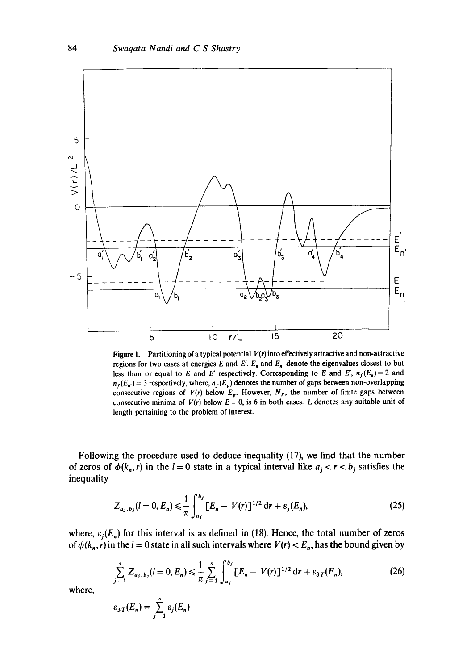

Figure 1. Partitioning of a typical potential *V(r)* into effectively attractive and non-attractive regions for two cases at energies  $E$  and  $E'$ .  $E_n$  and  $E_n$  denote the eigenvalues closest to but less than or equal to E and E' respectively. Corresponding to E and E',  $n_f(E_n)=2$  and  $n_f(E_n) = 3$  respectively, where,  $n_f(E_p)$  denotes the number of gaps between non-overlapping consecutive regions of  $V(r)$  below  $E_p$ . However,  $N_F$ , the number of finite gaps between consecutive minima of  $V(r)$  below  $E = 0$ , is 6 in both cases. L denotes any suitable unit of length pertaining to the problem of interest.

Following the procedure used to deduce inequality (17), we find that the number of zeros of  $\phi(k_n, r)$  in the  $l = 0$  state in a typical interval like  $a_j < r < b_j$  satisfies the inequality

$$
Z_{a_j,b_j}(l=0,E_n) \leq \frac{1}{\pi} \int_{a_j}^{b_j} [E_n - V(r)]^{1/2} \, \mathrm{d}r + \varepsilon_j(E_n), \tag{25}
$$

where,  $\varepsilon_j(E_n)$  for this interval is as defined in (18). Hence, the total number of zeros of  $\phi(k_n, r)$  in the  $l = 0$  state in all such intervals where  $V(r) < E_n$ , has the bound given by

$$
\sum_{j=1}^{s} Z_{a_j, b_j} (l = 0, E_n) \leq \frac{1}{\pi} \sum_{j=1}^{s} \int_{a_j}^{b_j} [E_n - V(r)]^{1/2} \, \mathrm{d}r + \varepsilon_{3T} (E_n), \tag{26}
$$

where,

$$
\varepsilon_{3T}(E_n)=\sum_{j=1}^s\varepsilon_j(E_n)
$$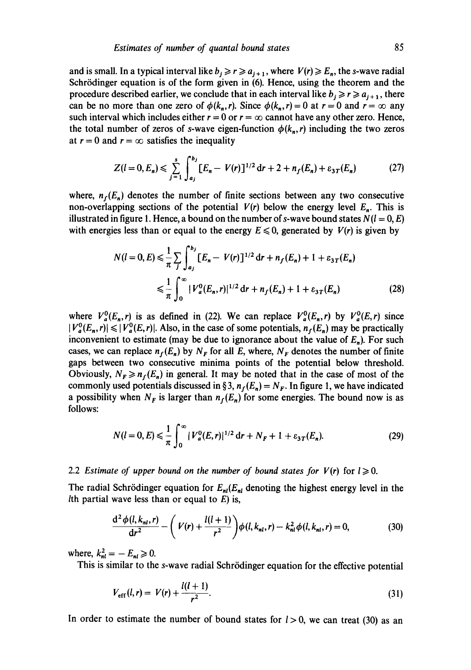and is small. In a typical interval like  $b_i \ge r \ge a_{i+1}$ , where  $V(r) \ge E_n$ , the s-wave radial Schrödinger equation is of the form given in (6). Hence, using the theorem and the procedure described earlier, we conclude that in each interval like  $b_i \ge r \ge a_{i+1}$ , there can be no more than one zero of  $\phi(k_n,r)$ . Since  $\phi(k_n,r)=0$  at  $r=0$  and  $r=\infty$  any such interval which includes either  $r = 0$  or  $r = \infty$  cannot have any other zero. Hence, the total number of zeros of s-wave eigen-function  $\phi(k_n, r)$  including the two zeros at  $r = 0$  and  $r = \infty$  satisfies the inequality

$$
Z(l=0,E_n) \leq \sum_{j=1}^s \int_{a_j}^{b_j} [E_n - V(r)]^{1/2} \, dr + 2 + n_f(E_n) + \varepsilon_{3T}(E_n) \tag{27}
$$

where,  $n_f(E_n)$  denotes the number of finite sections between any two consecutive non-overlapping sections of the potential  $V(r)$  below the energy level  $E_n$ . This is illustrated in figure 1. Hence, a bound on the number of s-wave bound states  $N(l = 0, E)$ with energies less than or equal to the energy  $E \le 0$ , generated by  $V(r)$  is given by

$$
N(l=0,E) \leq \frac{1}{\pi} \sum_{j} \int_{a_j}^{b_j} [E_n - V(r)]^{1/2} dr + n_f(E_n) + 1 + \varepsilon_{3T}(E_n)
$$
  

$$
\leq \frac{1}{\pi} \int_0^{\infty} |V_a^0(E_n, r)|^{1/2} dr + n_f(E_n) + 1 + \varepsilon_{3T}(E_n)
$$
 (28)

where  $V_a^0(E_n, r)$  is as defined in (22). We can replace  $V_a^0(E_n, r)$  by  $V_a^0(E, r)$  since  $|V_a^0(E_n, r)| \leq |V_a^0(E, r)|$ . Also, in the case of some potentials,  $n_f(E_n)$  may be practically inconvenient to estimate (may be due to ignorance about the value of  $E_n$ ). For such cases, we can replace  $n_f(E_n)$  by  $N_F$  for all E, where,  $N_F$  denotes the number of finite gaps between two consecutive minima points of the potential below threshold. Obviously,  $N_F \ge n_f(E_n)$  in general. It may be noted that in the case of most of the commonly used potentials discussed in § 3,  $n_f(E_n) = N_F$ . In figure 1, we have indicated a possibility when  $N_F$  is larger than  $n_f(E_n)$  for some energies. The bound now is as follows:

$$
N(l=0,E) \leq \frac{1}{\pi} \int_0^\infty |V_a^0(E,r)|^{1/2} \, \mathrm{d}r + N_F + 1 + \varepsilon_{3T}(E_n). \tag{29}
$$

### 2.2 *Estimate of upper bound on the number of bound states for*  $V(r)$  *for*  $l \ge 0$ *.*

The radial Schrödinger equation for  $E_{nl}(E_{nl}$  denoting the highest energy level in the Ith partial wave less than or equal to  $E$ ) is,

$$
\frac{d^2 \phi(l, k_{nl}, r)}{dr^2} - \left(V(r) + \frac{l(l+1)}{r^2}\right) \phi(l, k_{nl}, r) - k_{nl}^2 \phi(l, k_{nl}, r) = 0,
$$
\n(30)

where,  $k_{nl}^2 = -E_{nl} \geq 0$ .

This is similar to the s-wave radial Schrödinger equation for the effective potential

$$
V_{\text{eff}}(l,r) = V(r) + \frac{l(l+1)}{r^2}.
$$
 (31)

In order to estimate the number of bound states for  $l > 0$ , we can treat (30) as an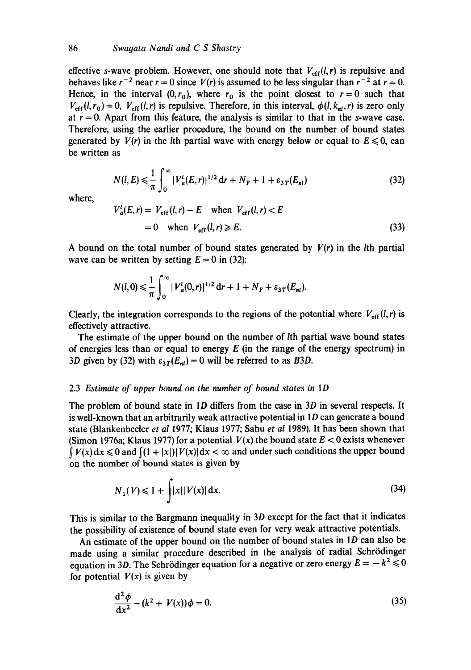effective s-wave problem. However, one should note that  $V_{\text{eff}}(l,r)$  is repulsive and behaves like  $r^{-2}$  near  $r = 0$  since  $V(r)$  is assumed to be less singular than  $r^{-2}$  at  $r = 0$ . Hence, in the interval  $(0, r_0)$ , where  $r_0$  is the point closest to  $r=0$  such that  $V_{\text{eff}}(l, r_0) = 0$ ,  $V_{\text{eff}}(l, r)$  is repulsive. Therefore, in this interval,  $\phi(l, k_{nl}, r)$  is zero only at  $r = 0$ . Apart from this feature, the analysis is similar to that in the s-wave case. Therefore, using the earlier procedure, the bound on the number of bound states generated by  $V(r)$  in the *l*th partial wave with energy below or equal to  $E \le 0$ , can be written as

$$
N(l, E) \leq \frac{1}{\pi} \int_0^{\infty} |V_a^l(E, r)|^{1/2} \, \mathrm{d}r + N_F + 1 + \varepsilon_{3T}(E_{nl}) \tag{32}
$$

where,

$$
V_a^l(E, r) = V_{\text{eff}}(l, r) - E \quad \text{when } V_{\text{eff}}(l, r) < E
$$
\n
$$
= 0 \quad \text{when } V_{\text{eff}}(l, r) \ge E. \tag{33}
$$

A bound on the total number of bound states generated by  $V(r)$  in the *l*th partial wave can be written by setting  $E = 0$  in (32):

$$
N(l,0) \leq \frac{1}{\pi} \int_0^{\infty} |V_a^l(0,r)|^{1/2} \, \mathrm{d}r + 1 + N_F + \varepsilon_{3T}(E_{nl}).
$$

Clearly, the integration corresponds to the regions of the potential where  $V_{\text{eff}}(l,r)$  is effectively attractive.

The estimate of the upper bound on the number of *l*th partial wave bound states of energies less than or equal to energy  $E$  (in the range of the energy spectrum) in 3D given by (32) with  $\varepsilon_{3T}(E_{nl}) = 0$  will be referred to as *B3D*.

#### 2.3 *Estimate of upper bound on the number of bound states in 1D*

The problem of bound state in 1D differs from the case in 3D in several respects. It is well-known that an arbitrarily weak attractive potential in 1D can generate a bound state (Blankenbecler *et al* 1977; Klaus 1977; Sahu *et al* 1989). It has been shown that (Simon 1976a; Klaus 1977) for a potential  $V(x)$  the bound state  $E < 0$  exists whenever  $\int V(x) dx \le 0$  and  $\int (1 + |x|) |V(x)| dx < \infty$  and under such conditions the upper bound on the number of bound states is given by

$$
N_1(V) \le 1 + \int |x| |V(x)| dx.
$$
 (34)

This is similar to the Bargmann inequality in 3D except for the fact that it indicates the possibility of existence of bound state even for very weak attractive potentials.

An estimate of the upper bound on the number of bound states in 1D can also be made using a similar procedure described in the analysis of radial Schrödinger equation in 3D. The Schrödinger equation for a negative or zero energy  $E = -k^2 \le 0$ for potential  $V(x)$  is given by

$$
\frac{d^2 \phi}{dx^2} - (k^2 + V(x))\phi = 0.
$$
 (35)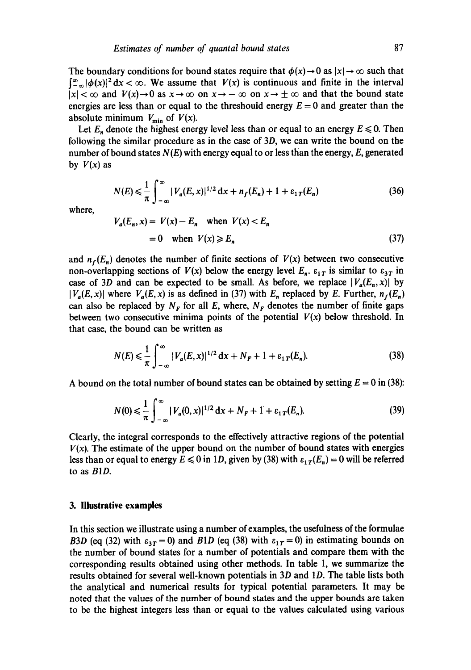The boundary conditions for bound states require that  $\phi(x) \rightarrow 0$  as  $|x| \rightarrow \infty$  such that  $\int_{-\infty}^{\infty} |\phi(x)|^2 dx < \infty$ . We assume that  $V(x)$  is continuous and finite in the interval  $|x| < \infty$  and  $V(x) \rightarrow 0$  as  $x \rightarrow \infty$  on  $x \rightarrow -\infty$  on  $x \rightarrow \pm \infty$  and that the bound state energies are less than or equal to the threshould energy  $E = 0$  and greater than the absolute minimum  $V_{\text{min}}$  of  $V(x)$ .

Let  $E_n$  denote the highest energy level less than or equal to an energy  $E \le 0$ . Then following the similar procedure as in the case of 3D, we can write the bound on the number of bound states *N(E)* with energy equal to or less than the energy, E, generated by  $V(x)$  as

$$
N(E) \le \frac{1}{\pi} \int_{-\infty}^{\infty} |V_a(E, x)|^{1/2} dx + n_f(E_n) + 1 + \varepsilon_{1T}(E_n)
$$
 (36)

where,

$$
V_a(E_n, x) = V(x) - E_n \quad \text{when } V(x) < E_n
$$
\n
$$
= 0 \quad \text{when } V(x) \ge E_n \tag{37}
$$

and  $n_f(E_n)$  denotes the number of finite sections of  $V(x)$  between two consecutive non-overlapping sections of  $V(x)$  below the energy level  $E_n$ .  $\varepsilon_{1T}$  is similar to  $\varepsilon_{3T}$  in case of 3D and can be expected to be small. As before, we replace  $|V_a(E_n, x)|$  by  $|V_a(E, x)|$  where  $V_a(E, x)$  is as defined in (37) with  $E_n$  replaced by E. Further,  $n_f(E_n)$ can also be replaced by  $N_F$  for all E, where,  $N_F$  denotes the number of finite gaps between two consecutive minima points of the potential  $V(x)$  below threshold. In that case, the bound can be written as

$$
N(E) \le \frac{1}{\pi} \int_{-\infty}^{\infty} |V_a(E, x)|^{1/2} dx + N_F + 1 + \varepsilon_{1T}(E_n).
$$
 (38)

A bound on the total number of bound states can be obtained by setting  $E = 0$  in (38):

$$
N(0) \leq \frac{1}{\pi} \int_{-\infty}^{\infty} |V_a(0, x)|^{1/2} dx + N_F + 1 + \varepsilon_{1T}(E_n).
$$
 (39)

Clearly, the integral corresponds to the effectively attractive regions of the potential  $V(x)$ . The estimate of the upper bound on the number of bound states with energies less than or equal to energy  $E \le 0$  in 1D, given by (38) with  $\varepsilon_{1T}(E_n) = 0$  will be referred to as *BID.* 

### **3. Illustrative examples**

In this section we illustrate using a number of examples, the usefulness of the formulae *B3D* (eq (32) with  $\varepsilon_{3T} = 0$ ) and *B1D* (eq (38) with  $\varepsilon_{1T} = 0$ ) in estimating bounds on the number of bound states for a number of potentials and compare them with the corresponding results obtained using other methods. In table 1, we summarize the results obtained for several well-known potentials in 3D and 1D. The table lists both the analytical and numerical results for typical potential parameters. It may be noted that the values of the number of bound states and the upper bounds are taken to be the highest integers less than or equal to the values calculated using various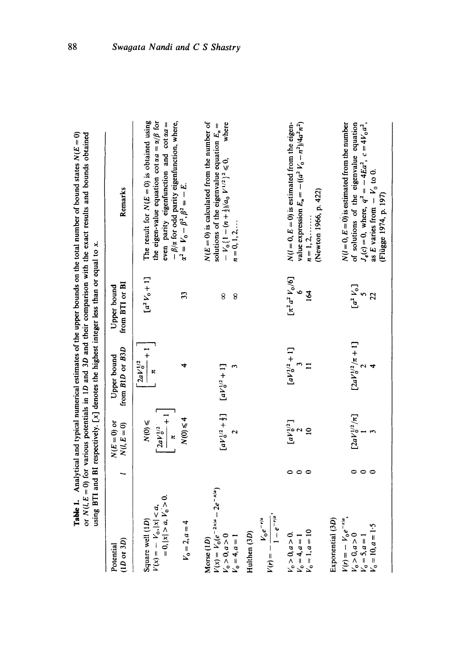| $(1D \text{ or } 3D)$<br>Potential                                                                          |         | $N(E=0)$ or<br>$N(l,E=0)$                               | from B1D or B3D<br>Upper bound                  | from BTI or BI<br>Upper bound | Remarks                                                                                                                                                                                                   |
|-------------------------------------------------------------------------------------------------------------|---------|---------------------------------------------------------|-------------------------------------------------|-------------------------------|-----------------------------------------------------------------------------------------------------------------------------------------------------------------------------------------------------------|
| $= 0,  x  > a, V_0 > 0.$<br>$V(x) = -V_0,  x  < a$ ,<br>Square well (1D)                                    |         | $\left[\frac{2aV_0^{1/2}}{\pi}+1\right]$<br>$N(0) \leq$ | $\left[\frac{2aV_0^{1/2}}{\pi}+1\right]$        | $[a^{2}V_{0}+1]$              | The result for $N(E=0)$ is obtained using<br>the eigen-value equation cot $\alpha a = \alpha/\beta$ for<br>even parity eigenfunction and cot $\alpha a$ =                                                 |
| $V_0 = 2, a = 4$                                                                                            |         | $N(0) \leq 4$                                           |                                                 | 33                            | $-\beta/\alpha$ for odd parity eigenfunction, where,<br>$\alpha^2 = V_0 - \beta^2$ , $\beta^2 = -E$ .                                                                                                     |
| $V(x) = V_0 (e^{-2x/a} - 2e^{-x/a})$<br>$V_0 > 0, a > 0$<br>$V_0 = 4, a = 1$<br>Morse (1D)                  |         |                                                         | $[aV_0^{1/2} + \frac{1}{2}]$ $[aV_0^{1/2} + 1]$ | 8<br>8                        | $N(E = 0)$ is calculated from the number of<br>where<br>solutions of the eigenvalue equation $E_n =$<br>$-V_0\{1-(n+\frac{1}{2})/a_0 V^{1/2}\}^2 \leq 0,$<br>$n = 0, 1, 2, $                              |
| $V(r) = -\frac{V_0 e^{-r/a}}{1 - e^{-r/a}},$<br>Hulthen (3D)                                                |         |                                                         |                                                 |                               |                                                                                                                                                                                                           |
| $V_0 = 1, a = 10$<br>$V_0 > 0, a > 0.$<br>$V_0 = 4, a = 1$                                                  | $\circ$ | $\left[ aV_0^{1/2} \right]$<br>2<br>10                  | $[aV_0^{1/2} + 1]$<br>3                         | $[\pi^2 a^2 V_0/6]$<br>164    | $N(l = 0, E = 0)$ is estimated from the eigen-<br>value expression $E_n = -((a^2 V_0 - n^2)/4a^2n^2)$<br>(Newton 1966, p. 422)<br>$n = 1, 2, \ldots$                                                      |
| $V(r) = -V_0 e^{-r/a}$ ,<br>Exponential (3D)<br>$V_0 = 10, a = 1.5$<br>$V_0 > 0, a > 0$<br>$V_0 = 5, a = 1$ |         | $\left[\frac{2aV_0^{1/2}/\pi\right]}{1}$                | $\frac{[2aV_0^{12}/\pi + 1]}{2}$                | $[a^2 V_0]$<br>$\overline{2}$ | $N(l=0, E=0)$ is estimated from the number<br>of solutions of the eigenvalue equation<br>$J_q(c) = 0$ , where, $q^2 = -4Ea^2$ , $c = 4V_0a^2$ ,<br>as E varies from $-V_0$ to 0.<br>(Flügge 1974, p. 197) |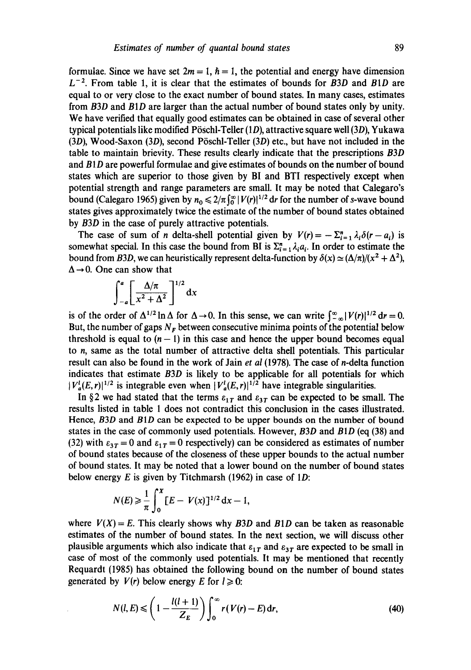formulae. Since we have set  $2m = 1$ ,  $\hbar = 1$ , the potential and energy have dimension  $L^{-2}$ . From table 1, it is clear that the estimates of bounds for *B3D* and *B1D* are equal to or very close to the exact number of bound states. In many cases, estimates from *B3D* and *BID* are larger than the actual number of bound states only by unity. We have verified that equally good estimates can be obtained in case of several other typical potentials like modified Pöschl-Teller  $(1D)$ , attractive square well  $(3D)$ , Yukawa  $(3D)$ , Wood-Saxon  $(3D)$ , second Pöschl-Teller  $(3D)$  etc., but have not included in the table to maintain brievity. These results dearly indicate that the prescriptions *B3D*  and  $B1D$  are powerful formulae and give estimates of bounds on the number of bound states which are superior to those given by BI and BTI respectively except when potential strength and range parameters are small. It may be noted that Calegaro's bound (Calegaro 1965) given by  $n_0 \leq 2/\pi \int_0^\infty |V(r)|^{1/2} dr$  for the number of s-wave bound states gives approximately twice the estimate of the number of bound states obtained by *B3D* in the case of purely attractive potentials.

The case of sum of *n* delta-shell potential given by  $V(r) = -\sum_{i=1}^{n} \lambda_i \delta(r-a_i)$  is somewhat special. In this case the bound from BI is  $\Sigma_{i=1}^n \lambda_i a_i$ . In order to estimate the bound from *B3D*, we can heuristically represent delta-function by  $\delta(x) \simeq (\Delta/\pi)/(x^2 + \Delta^2)$ ,  $\Delta \rightarrow 0$ . One can show that

$$
\int_{-a}^{a} \left[ \frac{\Delta/\pi}{x^2 + \Delta^2} \right]^{1/2} \mathrm{d}x
$$

is of the order of  $\Delta^{1/2} \ln \Delta$  for  $\Delta \rightarrow 0$ . In this sense, we can write  $\int_{-\infty}^{\infty} |V(r)|^{1/2} dr = 0$ . But, the number of gaps  $N_F$  between consecutive minima points of the potential below threshold is equal to  $(n - 1)$  in this case and hence the upper bound becomes equal to n, same as the total number of attractive delta shell potentials. This particular result can also be found in the work of Jain *et al* (1978). The case of n-delta function indicates that estimate *B3D* is likely to be applicable for all potentials for which  $|V_a^l(E,r)|^{1/2}$  is integrable even when  $|V_a^l(E,r)|^{1/2}$  have integrable singularities.

In §2 we had stated that the terms  $\varepsilon_{1T}$  and  $\varepsilon_{3T}$  can be expected to be small. The results listed in table 1 does not contradict this conclusion in the cases illustrated. Hence, *B3D* and *BID* can be expected to be upper bounds on the number of bound states in the case of commonly used potentials. However, *B3D* and *BID* (eq (38) and (32) with  $\varepsilon_{3T} = 0$  and  $\varepsilon_{1T} = 0$  respectively) can be considered as estimates of number of bound states because of the closeness of these upper bounds to the actual number of bound states. It may be noted that a lower bound on the number of bound states below energy E is given by Titchmarsh (1962) in case of **1D:** 

$$
N(E) \ge \frac{1}{\pi} \int_0^x [E - V(x)]^{1/2} dx - 1,
$$

where  $V(X) = E$ . This clearly shows why *B3D* and *B1D* can be taken as reasonable estimates of the number of bound states. In the next section, we will discuss other plausible arguments which also indicate that  $\varepsilon_{1T}$  and  $\varepsilon_{3T}$  are expected to be small in case of most of the commonly used potentials. It may be mentioned that recently Requardt (1985) has obtained the following bound on the number of bound states generated by  $V(r)$  below energy E for  $l \ge 0$ :

$$
N(l, E) \leqslant \left(1 - \frac{l(l+1)}{Z_E}\right) \int_0^\infty r(V(r) - E) \, \mathrm{d}r,\tag{40}
$$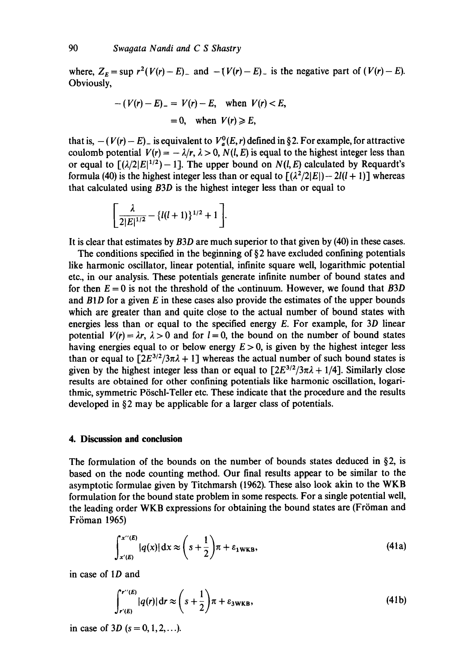where,  $Z_E = \sup r^2(V(r) - E)$  and  $-(V(r) - E)$  is the negative part of  $(V(r) - E)$ . Obviously,

$$
-(V(r)-E) = V(r)-E, \text{ when } V(r) < E,
$$
\n
$$
= 0, \text{ when } V(r) \ge E,
$$

that is,  $-(V(r)-E)$  is equivalent to  $V_a^0(E, r)$  defined in §2. For example, for attractive coulomb potential  $V(r) = -\lambda/r$ ,  $\lambda > 0$ ,  $N(l, E)$  is equal to the highest integer less than or equal to  $\lceil (\lambda/2|E|^{1/2}) - 1 \rceil$ . The upper bound on  $N(l, E)$  calculated by Requardt's formula (40) is the highest integer less than or equal to  $[(\lambda^2/2|E|)-2l(l+1)]$  whereas that calculated using *B3D* is the highest integer less than or equal to

$$
\bigg[\frac{\lambda}{2|E|^{1/2}} - \{l(l+1)\}^{1/2} + 1\bigg].
$$

It is clear that estimates by *B3D* are much superior to that given by (40) in these cases.

The conditions specified in the beginning of  $\S$ 2 have excluded confining potentials like harmonic oscillator, linear potential, infinite square well, logarithmic potential etc., in our analysis. These potentials generate infinite number of bound states and for then  $E = 0$  is not the threshold of the continuum. However, we found that  $B3D$ and *BID* for a given E in these cases also provide the estimates of the upper bounds which are greater than and quite close to the actual number of bound states with energies less than or equal to the specified energy  $E$ . For example, for 3D linear potential  $V(r) = \lambda r$ ,  $\lambda > 0$  and for  $l = 0$ , the bound on the number of bound states having energies equal to or below energy  $E > 0$ , is given by the highest integer less than or equal to  $[2E^{3/2}/3\pi\lambda + 1]$  whereas the actual number of such bound states is given by the highest integer less than or equal to  $[2E^{3/2}/3\pi\lambda + 1/4]$ . Similarly close results are obtained for other confining potentials like harmonic oscillation, logarithmic, symmetric Pöschl-Teller etc. These indicate that the procedure and the results developed in §2 may be applicable for a larger class of potentials.

# **4. Discussion and conclusion**

The formulation of the bounds on the number of bounds states deduced in  $\S$ 2, is based on the node counting method. Our final results appear to be similar to the asymptotic formulae given by Titchmarsh (1962). These also look akin to the WKB formulation for the bound state problem in some respects. For a single potential well, the leading order WKB expressions for obtaining the bound states are (Fröman and Fröman 1965)

$$
\int_{x'(E)}^{x''(E)} |q(x)| dx \approx \left(s + \frac{1}{2}\right) \pi + \varepsilon_{1WKB},
$$
\n(41a)

in case of ID and

$$
\int_{r'(E)}^{r''(E)} |q(r)| dr \approx \left(s + \frac{1}{2}\right) \pi + \varepsilon_{3WKB},\tag{41b}
$$

in case of 3D  $(s = 0, 1, 2, \ldots)$ .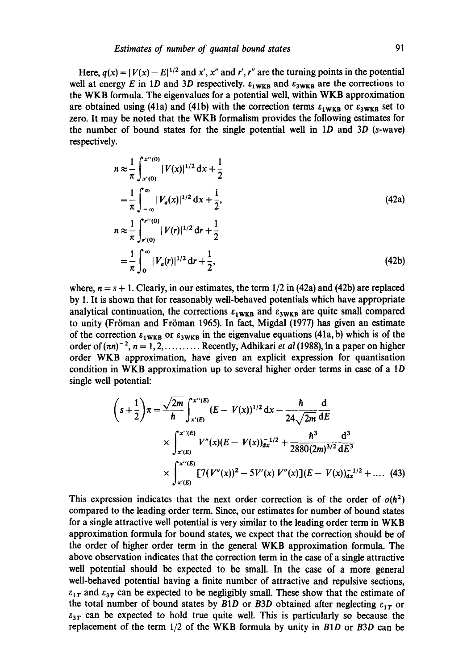Here,  $q(x) = |V(x) - E|^{1/2}$  and x', x'' and r', r'' are the turning points in the potential well at energy E in 1D and 3D respectively.  $\varepsilon_1_{\text{WKB}}$  and  $\varepsilon_3_{\text{WKB}}$  are the corrections to the WKB formula. The eigenvalues for a potential well, within WKB approximation are obtained using (41a) and (41b) with the correction terms  $\varepsilon_{1WKB}$  or  $\varepsilon_{3WKB}$  set to zero. It may be noted that the WKB formalism provides the following estimates for the number of bound states for the single potential well in  $1D$  and  $3D$  (s-wave) respectively.

$$
n \approx \frac{1}{\pi} \int_{x'(0)}^{x'(0)} |V(x)|^{1/2} dx + \frac{1}{2}
$$
  
\n
$$
= \frac{1}{\pi} \int_{-\infty}^{\infty} |V_a(x)|^{1/2} dx + \frac{1}{2},
$$
  
\n
$$
n \approx \frac{1}{\pi} \int_{r'(0)}^{r'(0)} |V(r)|^{1/2} dr + \frac{1}{2}
$$
  
\n
$$
= \frac{1}{\pi} \int_{0}^{\infty} |V_a(r)|^{1/2} dr + \frac{1}{2},
$$
\n(42b)

where,  $n = s + 1$ . Clearly, in our estimates, the term  $1/2$  in (42a) and (42b) are replaced by 1. It is shown that for reasonably well-behaved potentials which have appropriate analytical continuation, the corrections  $\varepsilon_1_{\bf w\kappa\bf B}$  and  $\varepsilon_3_{\bf w\kappa\bf B}$  are quite small compared to unity (Fröman and Fröman 1965). In fact, Migdal  $(1977)$  has given an estimate of the correction  $\epsilon_{1WKB}$  or  $\epsilon_{3WKB}$  in the eigenvalue equations (41a, b) which is of the order of  $(\pi n)^{-2}$ ,  $n = 1, 2, \ldots$ .......... Recently, Adhikari *et al* (1988), in a paper on higher order WKB approximation, have given an explicit expression for quantisation condition in WKB approximation up to several higher order terms in case of a 1D single well potential:

$$
\left(s+\frac{1}{2}\right)\pi = \frac{\sqrt{2m}}{\hbar} \int_{x'(E)}^{x''(E)} (E - V(x))^{1/2} dx - \frac{\hbar}{24\sqrt{2m}} \frac{d}{dE}
$$
  
 
$$
\times \int_{x'(E)}^{x''(E)} V''(x)(E - V(x))_{ax}^{-1/2} + \frac{\hbar^3}{2880(2m)^{3/2}} \frac{d^3}{dE^3}
$$
  
 
$$
\times \int_{x'(E)}^{x''(E)} [7(V''(x))^2 - 5V'(x) V''(x)](E - V(x))_{ax}^{-1/2} + .... (43)
$$

This expression indicates that the next order correction is of the order of  $o(h^2)$ compared to the leading order term. Since, our estimates for number of bound states for a single attractive well potential is very similar to the leading order term in WKB approximation formula for bound states, we expect that the correction should be of the order of higher order term in the general WKB approximation formula. The above observation indicates that the correction term in the case of a single attractive well potential should be expected to be small. In the case of a more general well-behaved potential having a finite number of attractive and repulsive sections,  $\varepsilon_{1T}$  and  $\varepsilon_{3T}$  can be expected to be negligibly small. These show that the estimate of the total number of bound states by  $B1D$  or  $B3D$  obtained after neglecting  $\varepsilon_{1T}$  or  $\epsilon_{3T}$  can be expected to hold true quite well. This is particularly so because the replacement of the term 1/2 of the WKB formula by unity in *BID* or *B3D* can be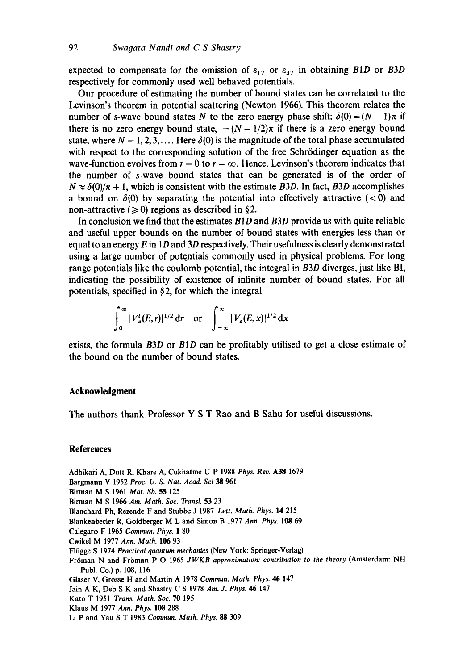expected to compensate for the omission of  $\varepsilon_{1T}$  or  $\varepsilon_{3T}$  in obtaining *B1D* or *B3D* respectively for commonly used well behaved potentials.

Our procedure of estimating the number of bound states can be correlated to the Levinson's theorem in potential scattering (Newton 1966). This theorem relates the number of s-wave bound states N to the zero energy phase shift:  $\delta(0) = (N - 1)\pi$  if there is no zero energy bound state,  $=(N - 1/2)\pi$  if there is a zero energy bound state, where  $N = 1, 2, 3, \ldots$  Here  $\delta(0)$  is the magnitude of the total phase accumulated with respect to the corresponding solution of the free Schrödinger equation as the wave-function evolves from  $r = 0$  to  $r = \infty$ . Hence, Levinson's theorem indicates that the number of s-wave bound states that can be generated is of the order of  $N \approx \delta(0)/\pi + 1$ , which is consistent with the estimate *B3D*. In fact, *B3D* accomplishes a bound on  $\delta(0)$  by separating the potential into effectively attractive (<0) and non-attractive ( $\geq 0$ ) regions as described in §2.

In conclusion we find that the estimates *BID* and *B3D* provide us with quite reliable and useful upper bounds on the number of bound states with energies less than or equal to an energy  $E$  in 1D and 3D respectively. Their usefulness is clearly demonstrated using a large number of potentials commonly used in physical problems. For long range potentials like the coulomb potential, the integral in *B3D* diverges, just like BI, indicating the possibility of existence of infinite number of bound states. For all potentials, specified in  $\S 2$ , for which the integral

$$
\int_0^{\infty} |V_a^l(E,r)|^{1/2} dr \quad \text{or} \quad \int_{-\infty}^{\infty} |V_a(E,x)|^{1/2} dx
$$

exists, the formula *B3D* or *B1D* can be profitably utilised to get a close estimate of the bound on the number of bound states.

# **Acknowledgment**

The authors thank Professor Y S T Rao and B Sahu for useful discussions.

#### **References**

Adhikai'i A, Dutt R, Khare A, Cukhatme U P 1988 *Phys. Rev.* A38 1679 Bargmann V 1952 *Proc. U. S. Nat. Acad. Sci 38* 961 Birman M S 1961 *Mat. Sb.* 55 125 Birman M S 1966 *Am. Math. Soc. Transl.* 53 23 Blanchard Ph, Rezende F and Stubbe J 1987 *Lett. Math. Phys.* 14 215 Blankenbecler R, Goldberger M L and Simon B 1977 *Ann. Phys.* 108 69 Calegaro F 1965 *Commun. Phys.* 1 80 Cwikel M 1977 *Ann. Math.* 106 93 Fliigge S 1974 *Practical quantum mechanics* (New York: Springer-Verlag) Fröman N and Fröman P O 1965 *JWKB approximation: contribution to the theory* (Amsterdam: NH Publ. Co.) p. 108, 116 Glaser V, Grosse H and Martin A 1978 *Commun. Math. Phys. 46* 147 Jain A K, Deb S K and Shastry C S 1978 *Am. J. Phys. 46* 147 Kato T 1951 *Trans. Math. Soc.* 70 195 Klaus M 1977 *Ann. Phys.* 108 288 Li P and Yau S T 1983 *Commun. Math. Phys. 88 309*